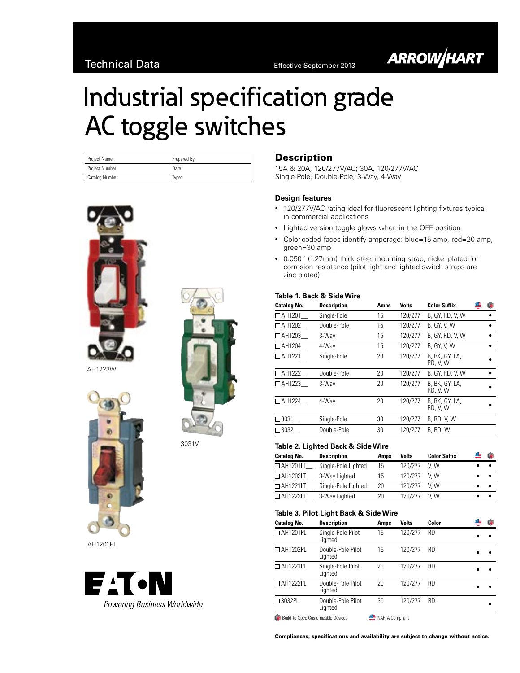# **ARROW/HART**

# Industrial specification grade AC toggle switches

| Project Name:   | Prepared By: |
|-----------------|--------------|
| Project Number: | Date:        |
| Catalog Number: | Type:        |





AH1201PL



# Description

15A & 20A, 120/277V/AC; 30A, 120/277V/AC Single-Pole, Double-Pole, 3-Way, 4-Way

# **Design features**

- 120/277V/AC rating ideal for fluorescent lighting fixtures typical in commercial applications
- • Lighted version toggle glows when in the OFF position
- Color-coded faces identify amperage: blue=15 amp, red=20 amp, green=30 amp
- • 0.050" (1.27mm) thick steel mounting strap, nickel plated for corrosion resistance (pilot light and lighted switch straps are zinc plated)

#### **Table 1. Back & Side Wire**

| <b>Description</b> | Amps | <b>Volts</b> | <b>Color Suffix</b>        | ſ. |
|--------------------|------|--------------|----------------------------|----|
| Single-Pole        | 15   | 120/277      | B. GY. RD. V. W            |    |
| Double-Pole        | 15   | 120/277      | B, GY, V, W                |    |
| 3-Way              | 15   | 120/277      | B. GY. RD. V. W            |    |
| 4-Wav              | 15   | 120/277      | <b>B. GY. V. W</b>         |    |
| Single-Pole        | 20   | 120/277      | B, BK, GY, LA,<br>RD, V, W |    |
| Double-Pole        | 20   | 120/277      | B. GY. RD. V. W            |    |
| 3-Wav              | 20   | 120/277      | B. BK. GY. LA.<br>RD, V, W |    |
| 4-Wav              | 20   | 120/277      | B. BK. GY. LA.<br>RD, V, W |    |
| Single-Pole        | 30   | 120/277      | <b>B. RD. V. W</b>         |    |
| Double-Pole        | 30   | 120/277      | B. RD. W                   |    |
|                    |      |              |                            |    |

# 3031V **Table 2. Lighted Back & Side Wire**

| <b>Catalog No.</b> | <b>Description</b>  | Amps | Volts   | <b>Color Suffix</b> | Œ |  |
|--------------------|---------------------|------|---------|---------------------|---|--|
| $\Box$ AH1201LT    | Single-Pole Lighted | 15   | 120/277 | V W                 |   |  |
| $\Box$ AH1203LT    | 3-Way Lighted       | 15   | 120/277 | V W                 |   |  |
| $\Box$ AH1221LT    | Single-Pole Lighted | 20   | 120/277 | V.W                 |   |  |
| $\Box$ AH1223LT    | 3-Way Lighted       | 20   | 120/277 | V W                 |   |  |

#### **Table 3. Pilot Light Back & Side Wire**

| <b>Catalog No.</b>                           | <b>Description</b>           | Amps            | <b>Volts</b> | Color     | G | œ |
|----------------------------------------------|------------------------------|-----------------|--------------|-----------|---|---|
| □ AH1201PL                                   | Single-Pole Pilot<br>Lighted | 15              | 120/277      | <b>RD</b> |   |   |
| $\Box$ AH1202PL                              | Double-Pole Pilot<br>Lighted | 15              | 120/277      | <b>RD</b> |   |   |
| $\Box$ AH1221PL                              | Single-Pole Pilot<br>Lighted | 20              | 120/277      | <b>RD</b> |   |   |
| □ AH1222PL                                   | Double-Pole Pilot<br>Lighted | 20              | 120/277      | <b>RD</b> |   |   |
| $\Box$ 3032PL                                | Double-Pole Pilot<br>Lighted | 30              | 120/277      | <b>RD</b> |   |   |
| <b>LA</b> Build-to-Spec Customizable Devices |                              | NAFTA Compliant |              |           |   |   |

Compliances, specifications and availability are subject to change without notice.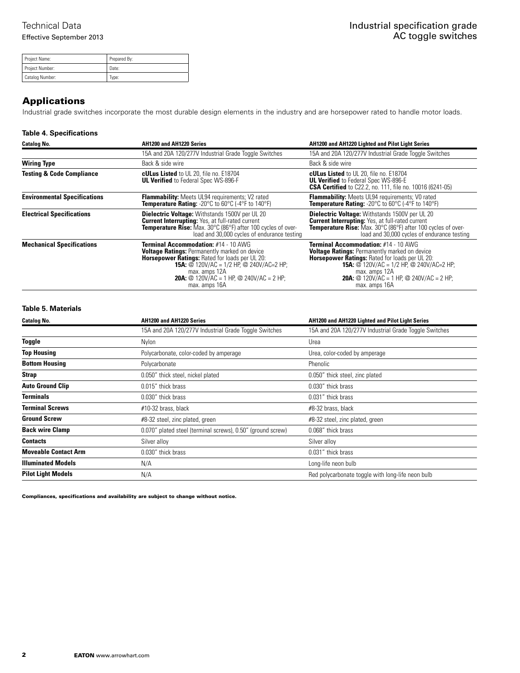| Project Name:   | Prepared By: |
|-----------------|--------------|
| Project Number: | Date:        |
| Catalog Number: | lvpe:        |

# Applications

Industrial grade switches incorporate the most durable design elements in the industry and are horsepower rated to handle motor loads.

### **Table 4. Specifications**

| <b>Catalog No.</b>                   | AH1200 and AH1220 Series                                                                                                                                                                                                                                                                             | <b>AH1200 and AH1220 Lighted and Pilot Light Series</b>                                                                                                                                                                                                                                       |
|--------------------------------------|------------------------------------------------------------------------------------------------------------------------------------------------------------------------------------------------------------------------------------------------------------------------------------------------------|-----------------------------------------------------------------------------------------------------------------------------------------------------------------------------------------------------------------------------------------------------------------------------------------------|
|                                      | 15A and 20A 120/277V Industrial Grade Toggle Switches                                                                                                                                                                                                                                                | 15A and 20A 120/277V Industrial Grade Toggle Switches                                                                                                                                                                                                                                         |
| <b>Wiring Type</b>                   | Back & side wire                                                                                                                                                                                                                                                                                     | Back & side wire                                                                                                                                                                                                                                                                              |
| <b>Testing &amp; Code Compliance</b> | <b>cULus Listed</b> to UL 20, file no. E18704<br><b>UL Verified</b> to Federal Spec WS-896-F                                                                                                                                                                                                         | <b>cULus Listed</b> to UL 20, file no. E18704<br><b>UL Verified</b> to Federal Spec WS-896-E<br><b>CSA Certified</b> to C22.2, no. 111, file no. 10016 (6241-05)                                                                                                                              |
| <b>Environmental Specifications</b>  | <b>Flammability:</b> Meets UL94 requirements; V2 rated<br><b>Temperature Rating:</b> -20 $^{\circ}$ C to 60 $^{\circ}$ C (-4 $^{\circ}$ F to 140 $^{\circ}$ F)                                                                                                                                       | Flammability: Meets UL94 requirements; V0 rated<br>Temperature Rating: -20°C to 60°C (-4°F to 140°F)                                                                                                                                                                                          |
| <b>Electrical Specifications</b>     | <b>Dielectric Voltage:</b> Withstands 1500V per UL 20<br><b>Current Interrupting:</b> Yes, at full-rated current<br><b>Temperature Rise:</b> Max. 30°C (86°F) after 100 cycles of over-<br>load and 30,000 cycles of endurance testing                                                               | <b>Dielectric Voltage:</b> Withstands 1500V per UL 20<br><b>Current Interrupting:</b> Yes, at full-rated current<br><b>Temperature Rise:</b> Max. 30°C (86°F) after 100 cycles of over-<br>load and 30,000 cycles of endurance testing                                                        |
| <b>Mechanical Specifications</b>     | <b>Terminal Accommodation: #14 - 10 AWG</b><br><b>Voltage Ratings: Permanently marked on device</b><br><b>Horsepower Ratings: Rated for loads per UL 20:</b><br><b>15A:</b> @ 120V/AC = 1/2 HP, @ 240V/AC=2 HP;<br>max. amps 12A<br><b>20A:</b> @ 120V/AC = 1 HP. @ 240V/AC = 2 HP:<br>max. amps 16A | Terminal Accommodation: #14 - 10 AWG<br><b>Voltage Ratings: Permanently marked on device</b><br><b>Horsepower Ratings: Rated for loads per UL 20:</b><br><b>15A:</b> @ 120V/AC = 1/2 HP, @ 240V/AC=2 HP;<br>max. amps 12A<br><b>20A:</b> @ 120V/AC = 1 HP. @ 240V/AC = 2 HP:<br>max. amps 16A |

# **Table 5. Materials**

| <b>Catalog No.</b>          | AH1200 and AH1220 Series                                    | AH1200 and AH1220 Lighted and Pilot Light Series      |
|-----------------------------|-------------------------------------------------------------|-------------------------------------------------------|
|                             | 15A and 20A 120/277V Industrial Grade Toggle Switches       | 15A and 20A 120/277V Industrial Grade Toggle Switches |
| Toggle                      | Nylon                                                       | Urea                                                  |
| <b>Top Housing</b>          | Polycarbonate, color-coded by amperage                      | Urea, color-coded by amperage                         |
| <b>Bottom Housing</b>       | Polycarbonate                                               | Phenolic                                              |
| Strap                       | 0.050" thick steel, nickel plated                           | 0.050" thick steel, zinc plated                       |
| <b>Auto Ground Clip</b>     | 0.015" thick brass                                          | 0.030" thick brass                                    |
| <b>Terminals</b>            | 0.030" thick brass                                          | 0.031" thick brass                                    |
| <b>Terminal Screws</b>      | #10-32 brass, black                                         | #8-32 brass, black                                    |
| <b>Ground Screw</b>         | #8-32 steel, zinc plated, green                             | #8-32 steel, zinc plated, green                       |
| <b>Back wire Clamp</b>      | 0.070" plated steel (terminal screws), 0.50" (ground screw) | 0.068" thick brass                                    |
| <b>Contacts</b>             | Silver alloy                                                | Silver alloy                                          |
| <b>Moveable Contact Arm</b> | 0.030" thick brass                                          | 0.031" thick brass                                    |
| <b>Illuminated Models</b>   | N/A                                                         | Long-life neon bulb                                   |
| <b>Pilot Light Models</b>   | N/A                                                         | Red polycarbonate toggle with long-life neon bulb     |

Compliances, specifications and availability are subject to change without notice.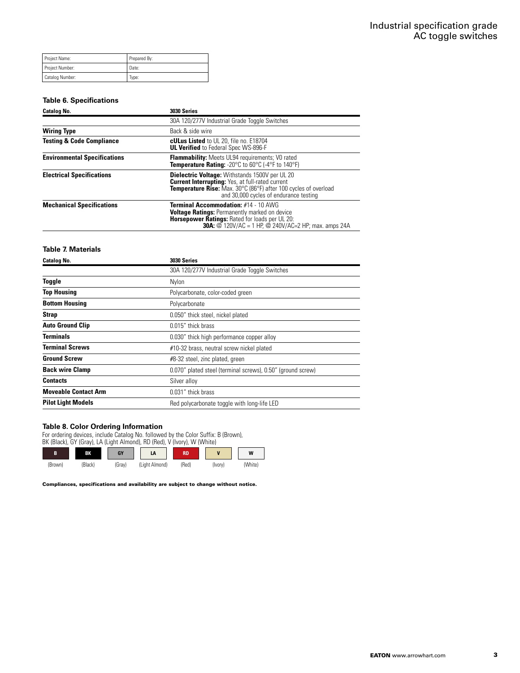| Project Name:     | Prepared By: |
|-------------------|--------------|
| Project Number:   | Date:        |
| ' Catalog Number: | Type:        |

#### **Table 6. Specifications**

| <b>Catalog No.</b>                   | 3030 Series                                                                                                                                                                                                                          |
|--------------------------------------|--------------------------------------------------------------------------------------------------------------------------------------------------------------------------------------------------------------------------------------|
|                                      | 30A 120/277V Industrial Grade Toggle Switches                                                                                                                                                                                        |
| <b>Wiring Type</b>                   | Back & side wire                                                                                                                                                                                                                     |
| <b>Testing &amp; Code Compliance</b> | <b>cULus Listed</b> to UL 20, file no. E18704<br><b>UL Verified</b> to Federal Spec WS-896-F                                                                                                                                         |
| <b>Environmental Specifications</b>  | <b>Flammability:</b> Meets UL94 requirements; V0 rated<br>Temperature Rating: -20°C to 60°C (-4°F to 140°F)                                                                                                                          |
| <b>Electrical Specifications</b>     | <b>Dielectric Voltage:</b> Withstands 1500V per UL 20<br><b>Current Interrupting:</b> Yes, at full-rated current<br><b>Temperature Rise:</b> Max. 30°C (86°F) after 100 cycles of overload<br>and 30,000 cycles of endurance testing |
| <b>Mechanical Specifications</b>     | Terminal Accommodation: #14 - 10 AWG<br><b>Voltage Ratings: Permanently marked on device</b><br><b>Horsepower Ratings: Rated for loads per UL 20:</b><br><b>30A:</b> @ 120V/AC = 1 HP, @ 240V/AC=2 HP; max. amps 24A                 |

## **Table 7. Materials**

| <b>Catalog No.</b>          | 3030 Series                                                 |  |  |
|-----------------------------|-------------------------------------------------------------|--|--|
|                             | 30A 120/277V Industrial Grade Toggle Switches               |  |  |
| Toggle                      | Nylon                                                       |  |  |
| <b>Top Housing</b>          | Polycarbonate, color-coded green                            |  |  |
| <b>Bottom Housing</b>       | Polycarbonate                                               |  |  |
| <b>Strap</b>                | 0.050" thick steel, nickel plated                           |  |  |
| <b>Auto Ground Clip</b>     | 0.015" thick brass                                          |  |  |
| <b>Terminals</b>            | 0.030" thick high performance copper alloy                  |  |  |
| <b>Terminal Screws</b>      | #10-32 brass, neutral screw nickel plated                   |  |  |
| <b>Ground Screw</b>         | #8-32 steel, zinc plated, green                             |  |  |
| <b>Back wire Clamp</b>      | 0.070" plated steel (terminal screws), 0.50" (ground screw) |  |  |
| <b>Contacts</b>             | Silver alloy                                                |  |  |
| <b>Moveable Contact Arm</b> | 0.031" thick brass                                          |  |  |
| <b>Pilot Light Models</b>   | Red polycarbonate toggle with long-life LED                 |  |  |

#### **Table 8. Color Ordering Information**

For ordering devices, include Catalog No. followed by the Color Suffix: B (Brown), BK (Black), GY (Gray), LA (Light Almond), RD (Red), V (Ivory), W (White)



Compliances, specifications and availability are subject to change without notice.